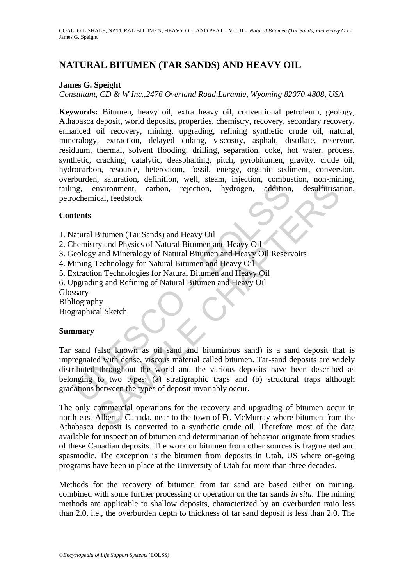# **NATURAL BITUMEN (TAR SANDS) AND HEAVY OIL**

### **James G. Speight**

*Consultant, CD & W Inc.,2476 Overland Road,Laramie, Wyoming 82070-4808, USA* 

**Keywords:** Bitumen, heavy oil, extra heavy oil, conventional petroleum, geology, Athabasca deposit, world deposits, properties, chemistry, recovery, secondary recovery, enhanced oil recovery, mining, upgrading, refining synthetic crude oil, natural, mineralogy, extraction, delayed coking, viscosity, asphalt, distillate, reservoir, residuum, thermal, solvent flooding, drilling, separation, coke, hot water, process, synthetic, cracking, catalytic, deasphalting, pitch, pyrobitumen, gravity, crude oil, hydrocarbon, resource, heteroatom, fossil, energy, organic sediment, conversion, overburden, saturation, definition, well, steam, injection, combustion, non-mining, tailing, environment, carbon, rejection, hydrogen, addition, desulfurisation, petrochemical, feedstock

### **Contents**

1. Natural Bitumen (Tar Sands) and Heavy Oil

- 2. Chemistry and Physics of Natural Bitumen and Heavy Oil
- 3. Geology and Mineralogy of Natural Bitumen and Heavy Oil Reservoirs
- 4. Mining Technology for Natural Bitumen and Heavy Oil
- 5. Extraction Technologies for Natural Bitumen and Heavy Oil
- 6. Upgrading and Refining of Natural Bitumen and Heavy Oil
- Glossary
- Bibliography

Biographical Sketch

#### **Summary**

ng, environment, carbon, rejection, hydrogen, addition<br>ochemical, feedstock<br>thents<br>atural Bitumen (Tar Sands) and Heavy Oil<br>themistry and Physics of Natural Bitumen and Heavy Oil<br>Resiming Technology for Natural Bitumen and Invironment, carbon, rejection, hydrogen, addition, desulfurisation, and<br>
Situmen (Tar Sands) and Heavy Oil<br>
Bitumen (Tar Sands) and Heavy Oil<br>
Try and Physics of Natural Bitumen and Heavy Oil<br>
and Mineralogy of Natural Bi Tar sand (also known as oil sand and bituminous sand) is a sand deposit that is impregnated with dense, viscous material called bitumen. Tar-sand deposits are widely distributed throughout the world and the various deposits have been described as belonging to two types: (a) stratigraphic traps and (b) structural traps although gradations between the types of deposit invariably occur.

The only commercial operations for the recovery and upgrading of bitumen occur in north-east Alberta, Canada, near to the town of Ft. McMurray where bitumen from the Athabasca deposit is converted to a synthetic crude oil. Therefore most of the data available for inspection of bitumen and determination of behavior originate from studies of these Canadian deposits. The work on bitumen from other sources is fragmented and spasmodic. The exception is the bitumen from deposits in Utah, US where on-going programs have been in place at the University of Utah for more than three decades.

Methods for the recovery of bitumen from tar sand are based either on mining, combined with some further processing or operation on the tar sands *in situ*. The mining methods are applicable to shallow deposits, characterized by an overburden ratio less than 2.0, i.e., the overburden depth to thickness of tar sand deposit is less than 2.0. The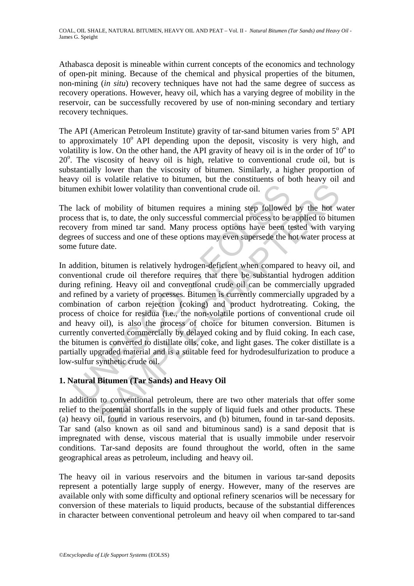Athabasca deposit is mineable within current concepts of the economics and technology of open-pit mining. Because of the chemical and physical properties of the bitumen, non-mining (*in situ*) recovery techniques have not had the same degree of success as recovery operations. However, heavy oil, which has a varying degree of mobility in the reservoir, can be successfully recovered by use of non-mining secondary and tertiary recovery techniques.

The API (American Petroleum Institute) gravity of tar-sand bitumen varies from 5° API to approximately  $10^{\circ}$  API depending upon the deposit, viscosity is very high, and volatility is low. On the other hand, the API gravity of heavy oil is in the order of  $10^{\circ}$  to 20<sup>°</sup>. The viscosity of heavy oil is high, relative to conventional crude oil, but is substantially lower than the viscosity of bitumen. Similarly, a higher proportion of heavy oil is volatile relative to bitumen, but the constituents of both heavy oil and bitumen exhibit lower volatility than conventional crude oil.

The lack of mobility of bitumen requires a mining step followed by the hot water process that is, to date, the only successful commercial process to be applied to bitumen recovery from mined tar sand. Many process options have been tested with varying degrees of success and one of these options may even supersede the hot water process at some future date.

men exhibit lower volatility than conventional crude oil.<br>
lack of mobility of bitumen requires a mining step followed<br>
seess that is, to date, the only successful commercial process to be<br>
overy from mined tar sand. Many This is the community of the set all the set all the set all the set all the policinal space of policinal in the set all the set all the set all the set all the set all the set all the set all the set all the set all the s In addition, bitumen is relatively hydrogen-deficient when compared to heavy oil, and conventional crude oil therefore requires that there be substantial hydrogen addition during refining. Heavy oil and conventional crude oil can be commercially upgraded and refined by a variety of processes. Bitumen is currently commercially upgraded by a combination of carbon rejection (coking) and product hydrotreating. Coking, the process of choice for residua (i.e., the non-volatile portions of conventional crude oil and heavy oil), is also the process of choice for bitumen conversion. Bitumen is currently converted commercially by delayed coking and by fluid coking. In each case, the bitumen is converted to distillate oils, coke, and light gases. The coker distillate is a partially upgraded material and is a suitable feed for hydrodesulfurization to produce a low-sulfur synthetic crude oil.

## **1. Natural Bitumen (Tar Sands) and Heavy Oil**

In addition to conventional petroleum, there are two other materials that offer some relief to the potential shortfalls in the supply of liquid fuels and other products. These (a) heavy oil, found in various reservoirs, and (b) bitumen, found in tar-sand deposits. Tar sand (also known as oil sand and bituminous sand) is a sand deposit that is impregnated with dense, viscous material that is usually immobile under reservoir conditions. Tar-sand deposits are found throughout the world, often in the same geographical areas as petroleum, including and heavy oil.

The heavy oil in various reservoirs and the bitumen in various tar-sand deposits represent a potentially large supply of energy. However, many of the reserves are available only with some difficulty and optional refinery scenarios will be necessary for conversion of these materials to liquid products, because of the substantial differences in character between conventional petroleum and heavy oil when compared to tar-sand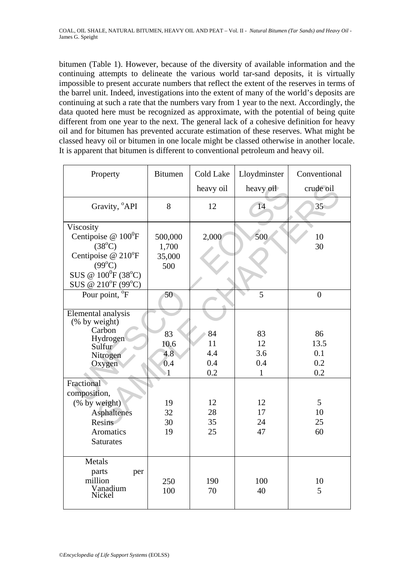bitumen (Table 1). However, because of the diversity of available information and the continuing attempts to delineate the various world tar-sand deposits, it is virtually impossible to present accurate numbers that reflect the extent of the reserves in terms of the barrel unit. Indeed, investigations into the extent of many of the world's deposits are continuing at such a rate that the numbers vary from 1 year to the next. Accordingly, the data quoted here must be recognized as approximate, with the potential of being quite different from one year to the next. The general lack of a cohesive definition for heavy oil and for bitumen has prevented accurate estimation of these reserves. What might be classed heavy oil or bitumen in one locale might be classed otherwise in another locale. It is apparent that bitumen is different to conventional petroleum and heavy oil.

| Property                                                                                                                                                      | <b>Bitumen</b>                             | <b>Cold Lake</b>              | Lloydminster                           | Conventional                    |
|---------------------------------------------------------------------------------------------------------------------------------------------------------------|--------------------------------------------|-------------------------------|----------------------------------------|---------------------------------|
|                                                                                                                                                               |                                            | heavy oil                     | heavy oil                              | crude oil                       |
| Gravity, <sup>°</sup> API                                                                                                                                     | 8                                          | 12                            | 14                                     | $35^{\circ}$                    |
| Viscosity<br>Centipoise $@ 100$ <sup>0</sup> F<br>$(38^{\circ}C)$<br>Centipoise @ 210°F<br>$(99^{\circ}C)$<br>SUS @ $100^{0}F(38^{0}C)$<br>SUS @ 210°F (99°C) | 500,000<br>1,700<br>35,000<br>500          | 2,000                         | 500                                    | 10<br>30                        |
| Pour point, <sup>o</sup> F                                                                                                                                    | 50                                         |                               | 5                                      | $\overline{0}$                  |
| <b>Elemental analysis</b><br>$(% \mathbf{A})$ (% by weight)<br>Carbon<br>Hydrogen<br>Sulfur <sup>7</sup><br>Nitrogen<br>Oxygen                                | 83<br>10.6<br>4.8<br>0.4<br>$\overline{1}$ | 84<br>11<br>4.4<br>0.4<br>0.2 | 83<br>12<br>3.6<br>0.4<br>$\mathbf{1}$ | 86<br>13.5<br>0.1<br>0.2<br>0.2 |
| Fractional<br>composition,<br>(% by weight)<br><b>Asphaltenes</b><br>Resins<br>Aromatics<br><b>Saturates</b>                                                  | 19<br>32<br>30<br>19                       | 12<br>28<br>35<br>25          | 12<br>17<br>24<br>47                   | 5<br>10<br>25<br>60             |
| Metals<br>parts<br>per<br>million<br>Vanadium<br>Nickel                                                                                                       | 250<br>100                                 | 190<br>70                     | 100<br>40                              | 10<br>5                         |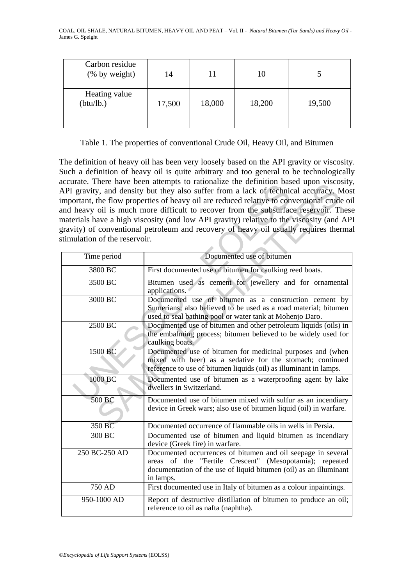| Carbon residue<br>(% by weight) | 14     | 11     | 10     |        |
|---------------------------------|--------|--------|--------|--------|
| Heating value<br>(btu/lb.)      | 17,500 | 18,000 | 18,200 | 19,500 |

Table 1. The properties of conventional Crude Oil, Heavy Oil, and Bitumen

The definition of heavy oil has been very loosely based on the API gravity or viscosity. Such a definition of heavy oil is quite arbitrary and too general to be technologically accurate. There have been attempts to rationalize the definition based upon viscosity, API gravity, and density but they also suffer from a lack of technical accuracy. Most important, the flow properties of heavy oil are reduced relative to conventional crude oil and heavy oil is much more difficult to recover from the subsurface reservoir. These materials have a high viscosity (and low API gravity) relative to the viscosity (and API gravity) of conventional petroleum and recovery of heavy oil usually requires thermal stimulation of the reservoir.

|                               | $\alpha$ accurate. There have been attempts to rationalize the definition based upon viscosity                                                                                                            |
|-------------------------------|-----------------------------------------------------------------------------------------------------------------------------------------------------------------------------------------------------------|
|                               | API gravity, and density but they also suffer from a lack of technical accuracy. Mos                                                                                                                      |
|                               | mportant, the flow properties of heavy oil are reduced relative to conventional crude oi                                                                                                                  |
|                               | and heavy oil is much more difficult to recover from the subsurface reservoir. These                                                                                                                      |
|                               | materials have a high viscosity (and low API gravity) relative to the viscosity (and AP                                                                                                                   |
|                               | gravity) of conventional petroleum and recovery of heavy oil usually requires therma                                                                                                                      |
| stimulation of the reservoir. |                                                                                                                                                                                                           |
|                               |                                                                                                                                                                                                           |
| Time period                   | Documented use of bitumen                                                                                                                                                                                 |
| 3800 BC                       | First documented use of bitumen for caulking reed boats.                                                                                                                                                  |
| 3500 BC                       | Bitumen used as cement for jewellery and for ornamental<br>applications.                                                                                                                                  |
| 3000 BC                       | Documented use of bitumen as a construction cement by<br>Sumerians; also believed to be used as a road material; bitumen<br>used to seal bathing pool or water tank at Mohenjo Daro.                      |
| 2500 BC                       | Documented use of bitumen and other petroleum liquids (oils) in<br>the embalming process; bitumen believed to be widely used for<br>caulking boats.                                                       |
| 1500 BC                       | Documented use of bitumen for medicinal purposes and (when<br>mixed with beer) as a sedative for the stomach; continued<br>reference to use of bitumen liquids (oil) as illuminant in lamps.              |
| 1000 BC                       | Documented use of bitumen as a waterproofing agent by lake<br>dwellers in Switzerland.                                                                                                                    |
| 500 BC                        | Documented use of bitumen mixed with sulfur as an incendiary<br>device in Greek wars; also use of bitumen liquid (oil) in warfare.                                                                        |
| 350 BC                        | Documented occurrence of flammable oils in wells in Persia.                                                                                                                                               |
| 300 BC                        | Documented use of bitumen and liquid bitumen as incendiary<br>device (Greek fire) in warfare.                                                                                                             |
| 250 BC-250 AD                 | Documented occurrences of bitumen and oil seepage in several<br>areas of the "Fertile Crescent" (Mesopotamia); repeated<br>documentation of the use of liquid bitumen (oil) as an illuminant<br>in lamps. |
| 750 AD                        | First documented use in Italy of bitumen as a colour inpaintings.                                                                                                                                         |
| 950-1000 AD                   | Report of destructive distillation of bitumen to produce an oil;<br>reference to oil as nafta (naphtha).                                                                                                  |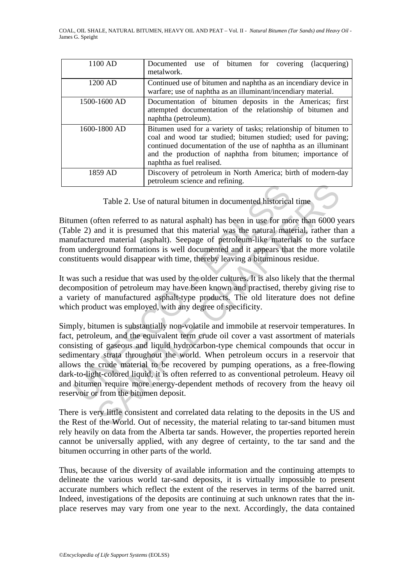| 1100 AD      | use of bitumen for covering<br>Documented<br>(lacquering)<br>metalwork.                                                                                                                                                                                                                     |
|--------------|---------------------------------------------------------------------------------------------------------------------------------------------------------------------------------------------------------------------------------------------------------------------------------------------|
| 1200 AD      | Continued use of bitumen and naphtha as an incendiary device in<br>warfare; use of naphtha as an illuminant/incendiary material.                                                                                                                                                            |
| 1500-1600 AD | Documentation of bitumen deposits in the Americas; first<br>attempted documentation of the relationship of bitumen and<br>naphtha (petroleum).                                                                                                                                              |
| 1600-1800 AD | Bitumen used for a variety of tasks; relationship of bitumen to<br>coal and wood tar studied; bitumen studied; used for paving;<br>continued documentation of the use of naphtha as an illuminant<br>and the production of naphtha from bitumen; importance of<br>naphtha as fuel realised. |
| 1859 AD      | Discovery of petroleum in North America; birth of modern-day<br>petroleum science and refining.                                                                                                                                                                                             |

Table 2. Use of natural bitumen in documented historical time

Bitumen (often referred to as natural asphalt) has been in use for more than 6000 years (Table 2) and it is presumed that this material was the natural material, rather than a manufactured material (asphalt). Seepage of petroleum-like materials to the surface from underground formations is well documented and it appears that the more volatile constituents would disappear with time, thereby leaving a bituminous residue.

It was such a residue that was used by the older cultures. It is also likely that the thermal decomposition of petroleum may have been known and practised, thereby giving rise to a variety of manufactured asphalt-type products. The old literature does not define which product was employed, with any degree of specificity.

Table 2. Use of natural bitumen in documented historica<br>men (often referred to as natural asphalt) has been in use for mo<br>ble 2) and it is presumed that this material was the natural maturicant<br>numeratured material (asphal From the control is a network and commington and commington and commingtof the perform referred to as natural asphalt) has been in use for more than 6000 yand it is presumed that this material was the natural material, rat Simply, bitumen is substantially non-volatile and immobile at reservoir temperatures. In fact, petroleum, and the equivalent term crude oil cover a vast assortment of materials consisting of gaseous and liquid hydrocarbon-type chemical compounds that occur in sedimentary strata throughout the world. When petroleum occurs in a reservoir that allows the crude material to be recovered by pumping operations, as a free-flowing dark-to-light-colored liquid, it is often referred to as conventional petroleum. Heavy oil and bitumen require more energy-dependent methods of recovery from the heavy oil reservoir or from the bitumen deposit.

There is very little consistent and correlated data relating to the deposits in the US and the Rest of the World. Out of necessity, the material relating to tar-sand bitumen must rely heavily on data from the Alberta tar sands. However, the properties reported herein cannot be universally applied, with any degree of certainty, to the tar sand and the bitumen occurring in other parts of the world.

Thus, because of the diversity of available information and the continuing attempts to delineate the various world tar-sand deposits, it is virtually impossible to present accurate numbers which reflect the extent of the reserves in terms of the barred unit. Indeed, investigations of the deposits are continuing at such unknown rates that the inplace reserves may vary from one year to the next. Accordingly, the data contained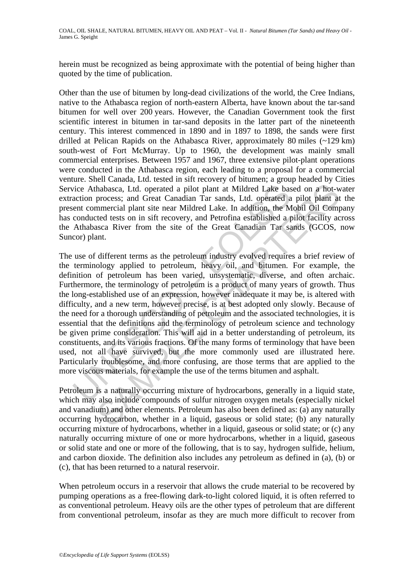COAL, OIL SHALE, NATURAL BITUMEN, HEAVY OIL AND PEAT – Vol. II - *Natural Bitumen (Tar Sands) and Heavy Oil* - James G. Speight

herein must be recognized as being approximate with the potential of being higher than quoted by the time of publication.

Other than the use of bitumen by long-dead civilizations of the world, the Cree Indians, native to the Athabasca region of north-eastern Alberta, have known about the tar-sand bitumen for well over 200 years. However, the Canadian Government took the first scientific interest in bitumen in tar-sand deposits in the latter part of the nineteenth century. This interest commenced in 1890 and in 1897 to 1898, the sands were first drilled at Pelican Rapids on the Athabasca River, approximately 80 miles (~129 km) south-west of Fort McMurray. Up to 1960, the development was mainly small commercial enterprises. Between 1957 and 1967, three extensive pilot-plant operations were conducted in the Athabasca region, each leading to a proposal for a commercial venture. Shell Canada, Ltd. tested in sift recovery of bitumen; a group headed by Cities Service Athabasca, Ltd. operated a pilot plant at Mildred Lake based on a hot-water extraction process; and Great Canadian Tar sands, Ltd. operated a pilot plant at the present commercial plant site near Mildred Lake. In addition, the Mobil Oil Company has conducted tests on in sift recovery, and Petrofina established a pilot facility across the Athabasca River from the site of the Great Canadian Tar sands (GCOS, now Suncor) plant.

ice Athabasca, Ltd. operated a pilot plant at Mildred Lake basetion process; and Great Canadian Tar sands, Ltd. operated a ent commercial plant site near Mildred Lake. In addition, the M conducted tests on in sift recovery habasca, Ltd. operated a pilot plant at Mildred Lake based on a hot-w<br>process; and Great Canadian Tar sands, Ltd. operated a pilot plant at<br>process; and Great Canadian Tar sands, Ltd. operated a pilot plant at<br>mencrical pl The use of different terms as the petroleum industry evolved requires a brief review of the terminology applied to petroleum, heavy oil, and bitumen. For example, the definition of petroleum has been varied, unsystematic, diverse, and often archaic. Furthermore, the terminology of petroleum is a product of many years of growth. Thus the long-established use of an expression, however inadequate it may be, is altered with difficulty, and a new term, however precise, is at best adopted only slowly. Because of the need for a thorough understanding of petroleum and the associated technologies, it is essential that the definitions and the terminology of petroleum science and technology be given prime consideration. This will aid in a better understanding of petroleum, its constituents, and its various fractions. Of the many forms of terminology that have been used, not all have survived, but the more commonly used are illustrated here. Particularly troublesome, and more confusing, are those terms that are applied to the more viscous materials, for example the use of the terms bitumen and asphalt.

Petroleum is a naturally occurring mixture of hydrocarbons, generally in a liquid state, which may also include compounds of sulfur nitrogen oxygen metals (especially nickel and vanadium) and other elements. Petroleum has also been defined as: (a) any naturally occurring hydrocarbon, whether in a liquid, gaseous or solid state; (b) any naturally occurring mixture of hydrocarbons, whether in a liquid, gaseous or solid state; or (c) any naturally occurring mixture of one or more hydrocarbons, whether in a liquid, gaseous or solid state and one or more of the following, that is to say, hydrogen sulfide, helium, and carbon dioxide. The definition also includes any petroleum as defined in (a), (b) or (c), that has been returned to a natural reservoir.

When petroleum occurs in a reservoir that allows the crude material to be recovered by pumping operations as a free-flowing dark-to-light colored liquid, it is often referred to as conventional petroleum. Heavy oils are the other types of petroleum that are different from conventional petroleum, insofar as they are much more difficult to recover from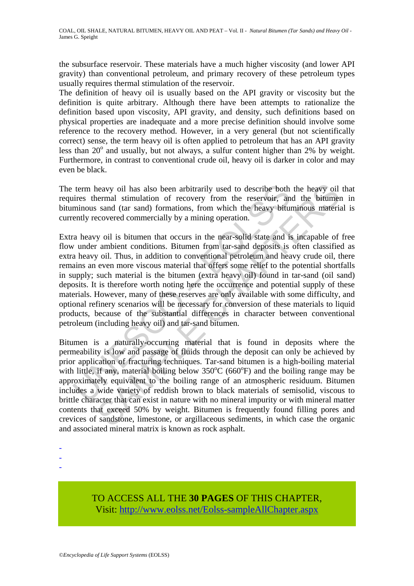the subsurface reservoir. These materials have a much higher viscosity (and lower API gravity) than conventional petroleum, and primary recovery of these petroleum types usually requires thermal stimulation of the reservoir.

The definition of heavy oil is usually based on the API gravity or viscosity but the definition is quite arbitrary. Although there have been attempts to rationalize the definition based upon viscosity, API gravity, and density, such definitions based on physical properties are inadequate and a more precise definition should involve some reference to the recovery method. However, in a very general (but not scientifically correct) sense, the term heavy oil is often applied to petroleum that has an API gravity less than  $20^{\circ}$  and usually, but not always, a sulfur content higher than  $2\%$  by weight. Furthermore, in contrast to conventional crude oil, heavy oil is darker in color and may even be black.

The term heavy oil has also been arbitrarily used to describe both the heavy oil that requires thermal stimulation of recovery from the reservoir, and the bitumen in bituminous sand (tar sand) formations, from which the heavy bituminous material is currently recovered commercially by a mining operation.

term heavy oil has also been arbitrarily used to describe both<br>ires thermal stimulation of recovery from the reservoir, an<br>minous sand (tar sand) formations, from which the heavy biturently recovered commercially by a min neavy oil has also been arbitrarily used to describe both the heavy oil<br>nermal stimulation of recovery from the reservoir, and the bittomer<br>sand (tar sand) formations, from which the heavy bittuminous materia<br>covered comme Extra heavy oil is bitumen that occurs in the near-solid state and is incapable of free flow under ambient conditions. Bitumen from tar-sand deposits is often classified as extra heavy oil. Thus, in addition to conventional petroleum and heavy crude oil, there remains an even more viscous material that offers some relief to the potential shortfalls in supply; such material is the bitumen (extra heavy oil) found in tar-sand (oil sand) deposits. It is therefore worth noting here the occurrence and potential supply of these materials. However, many of these reserves are only available with some difficulty, and optional refinery scenarios will be necessary for conversion of these materials to liquid products, because of the substantial differences in character between conventional petroleum (including heavy oil) and tar-sand bitumen.

Bitumen is a naturally-occurring material that is found in deposits where the permeability is low and passage of fluids through the deposit can only be achieved by prior application of fracturing techniques. Tar-sand bitumen is a high-boiling material with little, if any, material boiling below  $350^{\circ}$ C (660 $^{\circ}$ F) and the boiling range may be approximately equivalent to the boiling range of an atmospheric residuum. Bitumen includes a wide variety of reddish brown to black materials of semisolid, viscous to brittle character that can exist in nature with no mineral impurity or with mineral matter contents that exceed 50% by weight. Bitumen is frequently found filling pores and crevices of sandstone, limestone, or argillaceous sediments, in which case the organic and associated mineral matrix is known as rock asphalt.

-

-

-

TO ACCESS ALL THE **30 PAGES** OF THIS CHAPTER, Visi[t: http://www.eolss.net/Eolss-sampleAllChapter.aspx](https://www.eolss.net/ebooklib/sc_cart.aspx?File=E3-04-05)